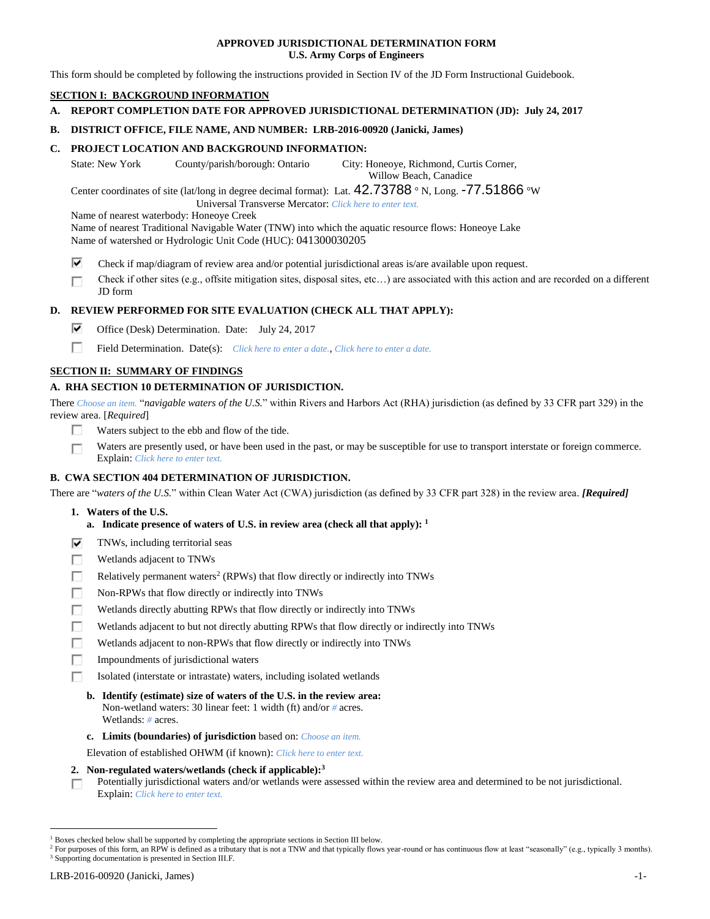### **APPROVED JURISDICTIONAL DETERMINATION FORM U.S. Army Corps of Engineers**

This form should be completed by following the instructions provided in Section IV of the JD Form Instructional Guidebook.

# **SECTION I: BACKGROUND INFORMATION**

**A. REPORT COMPLETION DATE FOR APPROVED JURISDICTIONAL DETERMINATION (JD): July 24, 2017**

## **B. DISTRICT OFFICE, FILE NAME, AND NUMBER: LRB-2016-00920 (Janicki, James)**

### **C. PROJECT LOCATION AND BACKGROUND INFORMATION:**

State: New York County/parish/borough: Ontario City: Honeoye, Richmond, Curtis Corner,

Willow Beach, Canadice

Center coordinates of site (lat/long in degree decimal format): Lat. 42.73788 ° N, Long. -77.51866 °W

Universal Transverse Mercator: *Click here to enter text.*

Name of nearest waterbody: Honeoye Creek

Name of nearest Traditional Navigable Water (TNW) into which the aquatic resource flows: Honeoye Lake Name of watershed or Hydrologic Unit Code (HUC): 041300030205

⊽ Check if map/diagram of review area and/or potential jurisdictional areas is/are available upon request.

Check if other sites (e.g., offsite mitigation sites, disposal sites, etc…) are associated with this action and are recorded on a different П JD form

# **D. REVIEW PERFORMED FOR SITE EVALUATION (CHECK ALL THAT APPLY):**

- ⊽. Office (Desk) Determination. Date: July 24, 2017
- п. Field Determination. Date(s): *Click here to enter a date.*, *Click here to enter a date.*

# **SECTION II: SUMMARY OF FINDINGS**

# **A. RHA SECTION 10 DETERMINATION OF JURISDICTION.**

There *Choose an item.* "*navigable waters of the U.S.*" within Rivers and Harbors Act (RHA) jurisdiction (as defined by 33 CFR part 329) in the review area. [*Required*]

- п. Waters subject to the ebb and flow of the tide.
- Waters are presently used, or have been used in the past, or may be susceptible for use to transport interstate or foreign commerce. п Explain: *Click here to enter text.*

# **B. CWA SECTION 404 DETERMINATION OF JURISDICTION.**

There are "*waters of the U.S.*" within Clean Water Act (CWA) jurisdiction (as defined by 33 CFR part 328) in the review area. *[Required]*

- **1. Waters of the U.S.**
	- **a. Indicate presence of waters of U.S. in review area (check all that apply): 1**
- ⊽ TNWs, including territorial seas
- п Wetlands adjacent to TNWs
- Relatively permanent waters<sup>2</sup> (RPWs) that flow directly or indirectly into TNWs г
- П Non-RPWs that flow directly or indirectly into TNWs
- п Wetlands directly abutting RPWs that flow directly or indirectly into TNWs
- г Wetlands adjacent to but not directly abutting RPWs that flow directly or indirectly into TNWs
- Wetlands adjacent to non-RPWs that flow directly or indirectly into TNWs
- П Impoundments of jurisdictional waters
- г Isolated (interstate or intrastate) waters, including isolated wetlands
	- **b. Identify (estimate) size of waters of the U.S. in the review area:** Non-wetland waters: 30 linear feet: 1 width (ft) and/or *#* acres. Wetlands: *#* acres.
	- **c. Limits (boundaries) of jurisdiction** based on: *Choose an item.*

Elevation of established OHWM (if known): *Click here to enter text.*

- **2. Non-regulated waters/wetlands (check if applicable): 3**
- Potentially jurisdictional waters and/or wetlands were assessed within the review area and determined to be not jurisdictional. п Explain: *Click here to enter text.*

<sup>1</sup> Boxes checked below shall be supported by completing the appropriate sections in Section III below.

<sup>&</sup>lt;sup>2</sup> For purposes of this form, an RPW is defined as a tributary that is not a TNW and that typically flows year-round or has continuous flow at least "seasonally" (e.g., typically 3 months). <sup>3</sup> Supporting documentation is presented in Section III.F.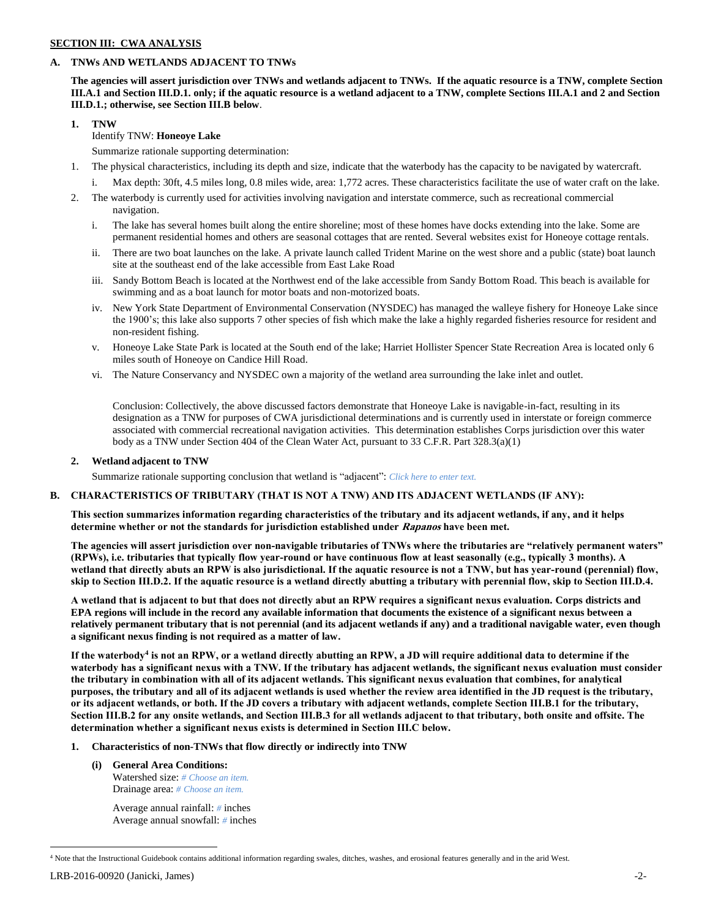## **SECTION III: CWA ANALYSIS**

## **A. TNWs AND WETLANDS ADJACENT TO TNWs**

**The agencies will assert jurisdiction over TNWs and wetlands adjacent to TNWs. If the aquatic resource is a TNW, complete Section III.A.1 and Section III.D.1. only; if the aquatic resource is a wetland adjacent to a TNW, complete Sections III.A.1 and 2 and Section III.D.1.; otherwise, see Section III.B below**.

**1. TNW** 

# Identify TNW: **Honeoye Lake**

Summarize rationale supporting determination:

- 1. The physical characteristics, including its depth and size, indicate that the waterbody has the capacity to be navigated by watercraft.
	- i. Max depth: 30ft, 4.5 miles long, 0.8 miles wide, area: 1,772 acres. These characteristics facilitate the use of water craft on the lake.
- 2. The waterbody is currently used for activities involving navigation and interstate commerce, such as recreational commercial navigation.
	- i. The lake has several homes built along the entire shoreline; most of these homes have docks extending into the lake. Some are permanent residential homes and others are seasonal cottages that are rented. Several websites exist for Honeoye cottage rentals.
	- ii. There are two boat launches on the lake. A private launch called Trident Marine on the west shore and a public (state) boat launch site at the southeast end of the lake accessible from East Lake Road
	- iii. Sandy Bottom Beach is located at the Northwest end of the lake accessible from Sandy Bottom Road. This beach is available for swimming and as a boat launch for motor boats and non-motorized boats.
	- iv. New York State Department of Environmental Conservation (NYSDEC) has managed the walleye fishery for Honeoye Lake since the 1900's; this lake also supports 7 other species of fish which make the lake a highly regarded fisheries resource for resident and non-resident fishing.
	- v. Honeoye Lake State Park is located at the South end of the lake; Harriet Hollister Spencer State Recreation Area is located only 6 miles south of Honeoye on Candice Hill Road.
	- vi. The Nature Conservancy and NYSDEC own a majority of the wetland area surrounding the lake inlet and outlet.

Conclusion: Collectively, the above discussed factors demonstrate that Honeoye Lake is navigable-in-fact, resulting in its designation as a TNW for purposes of CWA jurisdictional determinations and is currently used in interstate or foreign commerce associated with commercial recreational navigation activities. This determination establishes Corps jurisdiction over this water body as a TNW under Section 404 of the Clean Water Act, pursuant to 33 C.F.R. Part 328.3(a)(1)

### **2. Wetland adjacent to TNW**

Summarize rationale supporting conclusion that wetland is "adjacent": *Click here to enter text.*

### **B. CHARACTERISTICS OF TRIBUTARY (THAT IS NOT A TNW) AND ITS ADJACENT WETLANDS (IF ANY):**

**This section summarizes information regarding characteristics of the tributary and its adjacent wetlands, if any, and it helps determine whether or not the standards for jurisdiction established under Rapanos have been met.** 

**The agencies will assert jurisdiction over non-navigable tributaries of TNWs where the tributaries are "relatively permanent waters" (RPWs), i.e. tributaries that typically flow year-round or have continuous flow at least seasonally (e.g., typically 3 months). A wetland that directly abuts an RPW is also jurisdictional. If the aquatic resource is not a TNW, but has year-round (perennial) flow, skip to Section III.D.2. If the aquatic resource is a wetland directly abutting a tributary with perennial flow, skip to Section III.D.4.**

**A wetland that is adjacent to but that does not directly abut an RPW requires a significant nexus evaluation. Corps districts and EPA regions will include in the record any available information that documents the existence of a significant nexus between a relatively permanent tributary that is not perennial (and its adjacent wetlands if any) and a traditional navigable water, even though a significant nexus finding is not required as a matter of law.**

**If the waterbody<sup>4</sup> is not an RPW, or a wetland directly abutting an RPW, a JD will require additional data to determine if the waterbody has a significant nexus with a TNW. If the tributary has adjacent wetlands, the significant nexus evaluation must consider the tributary in combination with all of its adjacent wetlands. This significant nexus evaluation that combines, for analytical purposes, the tributary and all of its adjacent wetlands is used whether the review area identified in the JD request is the tributary, or its adjacent wetlands, or both. If the JD covers a tributary with adjacent wetlands, complete Section III.B.1 for the tributary, Section III.B.2 for any onsite wetlands, and Section III.B.3 for all wetlands adjacent to that tributary, both onsite and offsite. The determination whether a significant nexus exists is determined in Section III.C below.**

### **1. Characteristics of non-TNWs that flow directly or indirectly into TNW**

**(i) General Area Conditions:** Watershed size: *# Choose an item.* Drainage area: *# Choose an item.*

> Average annual rainfall: *#* inches Average annual snowfall: *#* inches

<sup>4</sup> Note that the Instructional Guidebook contains additional information regarding swales, ditches, washes, and erosional features generally and in the arid West.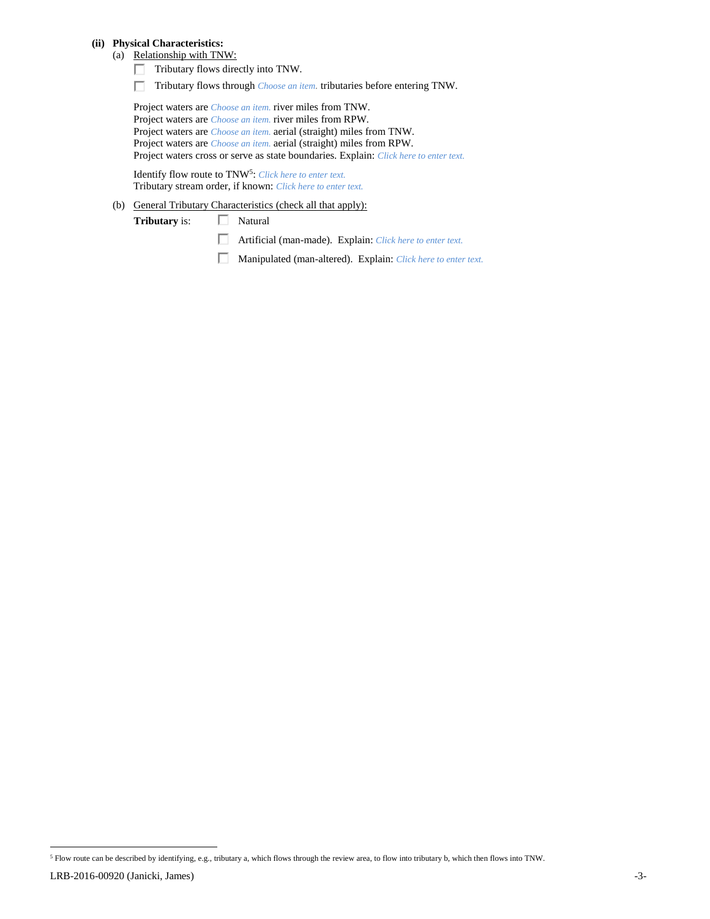## **(ii) Physical Characteristics:**

### (a) Relationship with TNW:

- $\Box$  Tributary flows directly into TNW.
- Tributary flows through *Choose an item.* tributaries before entering TNW.

Project waters are *Choose an item.* river miles from TNW. Project waters are *Choose an item.* river miles from RPW. Project waters are *Choose an item.* aerial (straight) miles from TNW. Project waters are *Choose an item.* aerial (straight) miles from RPW. Project waters cross or serve as state boundaries. Explain: *Click here to enter text.*

Identify flow route to TNW<sup>5</sup>: Click here to enter text. Tributary stream order, if known: *Click here to enter text.*

# (b) General Tributary Characteristics (check all that apply):

Tributary is:  $\Box$  Natural

Artificial (man-made). Explain: *Click here to enter text.*

Manipulated (man-altered). Explain: *Click here to enter text.*

LRB-2016-00920 (Janicki, James) -3- <sup>5</sup> Flow route can be described by identifying, e.g., tributary a, which flows through the review area, to flow into tributary b, which then flows into TNW.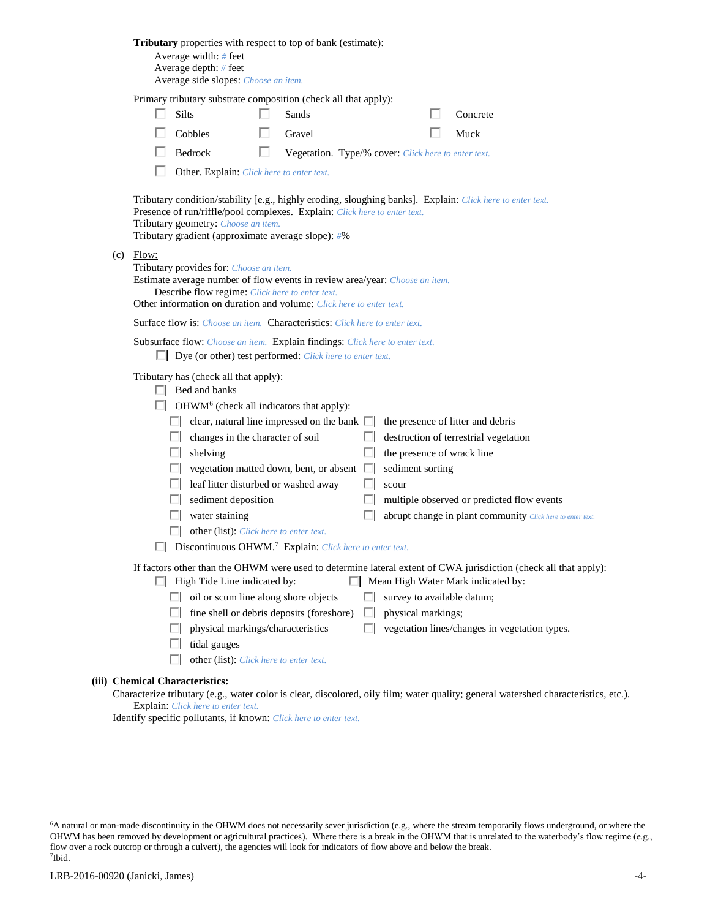|  |                                                                                                                                                                                                                                                                      |                                                                                                                                                        |       | <b>Tributary</b> properties with respect to top of bank (estimate):<br>Average width: # feet<br>Average depth: $#$ feet<br>Average side slopes: Choose an item.                                                                                  |  |                                                     |   |  |                            |  |                                                                                                           |
|--|----------------------------------------------------------------------------------------------------------------------------------------------------------------------------------------------------------------------------------------------------------------------|--------------------------------------------------------------------------------------------------------------------------------------------------------|-------|--------------------------------------------------------------------------------------------------------------------------------------------------------------------------------------------------------------------------------------------------|--|-----------------------------------------------------|---|--|----------------------------|--|-----------------------------------------------------------------------------------------------------------|
|  |                                                                                                                                                                                                                                                                      |                                                                                                                                                        |       | Primary tributary substrate composition (check all that apply):                                                                                                                                                                                  |  |                                                     |   |  |                            |  |                                                                                                           |
|  |                                                                                                                                                                                                                                                                      |                                                                                                                                                        | Silts |                                                                                                                                                                                                                                                  |  | Sands                                               |   |  |                            |  | Concrete                                                                                                  |
|  |                                                                                                                                                                                                                                                                      |                                                                                                                                                        |       | Cobbles                                                                                                                                                                                                                                          |  | Gravel                                              |   |  |                            |  | Muck                                                                                                      |
|  |                                                                                                                                                                                                                                                                      |                                                                                                                                                        |       | Bedrock                                                                                                                                                                                                                                          |  | Vegetation. Type/% cover: Click here to enter text. |   |  |                            |  |                                                                                                           |
|  |                                                                                                                                                                                                                                                                      |                                                                                                                                                        |       | Other. Explain: Click here to enter text.                                                                                                                                                                                                        |  |                                                     |   |  |                            |  |                                                                                                           |
|  |                                                                                                                                                                                                                                                                      |                                                                                                                                                        |       | Presence of run/riffle/pool complexes. Explain: Click here to enter text.<br>Tributary geometry: Choose an item.<br>Tributary gradient (approximate average slope): #%                                                                           |  |                                                     |   |  |                            |  | Tributary condition/stability [e.g., highly eroding, sloughing banks]. Explain: Click here to enter text. |
|  |                                                                                                                                                                                                                                                                      | $(c)$ Flow:                                                                                                                                            |       | Tributary provides for: Choose an item.<br>Estimate average number of flow events in review area/year: Choose an item.<br>Describe flow regime: Click here to enter text.<br>Other information on duration and volume: Click here to enter text. |  |                                                     |   |  |                            |  |                                                                                                           |
|  |                                                                                                                                                                                                                                                                      |                                                                                                                                                        |       | <b>Surface flow is:</b> <i>Choose an item.</i> <b>Characteristics:</b> <i>Click here to enter text.</i>                                                                                                                                          |  |                                                     |   |  |                            |  |                                                                                                           |
|  |                                                                                                                                                                                                                                                                      | Subsurface flow: Choose an item. Explain findings: Click here to enter text.<br>$\Box$ Dye (or other) test performed: <i>Click here to enter text.</i> |       |                                                                                                                                                                                                                                                  |  |                                                     |   |  |                            |  |                                                                                                           |
|  |                                                                                                                                                                                                                                                                      | Tributary has (check all that apply):<br>$\Box$ Bed and banks<br>$\Box$ OHWM <sup>6</sup> (check all indicators that apply):                           |       |                                                                                                                                                                                                                                                  |  |                                                     |   |  |                            |  |                                                                                                           |
|  |                                                                                                                                                                                                                                                                      |                                                                                                                                                        |       | $\Box$ clear, natural line impressed on the bank $\Box$                                                                                                                                                                                          |  |                                                     |   |  |                            |  | the presence of litter and debris                                                                         |
|  |                                                                                                                                                                                                                                                                      |                                                                                                                                                        |       | changes in the character of soil                                                                                                                                                                                                                 |  |                                                     |   |  |                            |  | destruction of terrestrial vegetation                                                                     |
|  |                                                                                                                                                                                                                                                                      |                                                                                                                                                        |       | $\Box$ shelving                                                                                                                                                                                                                                  |  |                                                     | U |  | the presence of wrack line |  |                                                                                                           |
|  |                                                                                                                                                                                                                                                                      |                                                                                                                                                        |       | $\Box$ vegetation matted down, bent, or absent $\Box$                                                                                                                                                                                            |  |                                                     |   |  | sediment sorting           |  |                                                                                                           |
|  |                                                                                                                                                                                                                                                                      |                                                                                                                                                        |       | leaf litter disturbed or washed away<br>sediment deposition                                                                                                                                                                                      |  |                                                     |   |  | scour                      |  | multiple observed or predicted flow events                                                                |
|  |                                                                                                                                                                                                                                                                      |                                                                                                                                                        | ш     | water staining                                                                                                                                                                                                                                   |  |                                                     |   |  |                            |  | abrupt change in plant community Click here to enter text.                                                |
|  |                                                                                                                                                                                                                                                                      |                                                                                                                                                        |       | other (list): Click here to enter text.                                                                                                                                                                                                          |  |                                                     |   |  |                            |  |                                                                                                           |
|  | Discontinuous OHWM. <sup>7</sup> Explain: Click here to enter text.<br>If factors other than the OHWM were used to determine lateral extent of CWA jurisdiction (check all that apply):<br>$\Box$ High Tide Line indicated by:<br>Mean High Water Mark indicated by: |                                                                                                                                                        |       |                                                                                                                                                                                                                                                  |  |                                                     |   |  |                            |  |                                                                                                           |
|  |                                                                                                                                                                                                                                                                      |                                                                                                                                                        |       |                                                                                                                                                                                                                                                  |  |                                                     |   |  |                            |  |                                                                                                           |
|  |                                                                                                                                                                                                                                                                      |                                                                                                                                                        |       | oil or scum line along shore objects                                                                                                                                                                                                             |  |                                                     |   |  | survey to available datum; |  |                                                                                                           |
|  |                                                                                                                                                                                                                                                                      |                                                                                                                                                        | ш     | fine shell or debris deposits (foreshore)                                                                                                                                                                                                        |  |                                                     | ш |  | physical markings;         |  |                                                                                                           |
|  |                                                                                                                                                                                                                                                                      |                                                                                                                                                        |       | physical markings/characteristics                                                                                                                                                                                                                |  |                                                     | п |  |                            |  | vegetation lines/changes in vegetation types.                                                             |
|  |                                                                                                                                                                                                                                                                      |                                                                                                                                                        |       | tidal gauges                                                                                                                                                                                                                                     |  |                                                     |   |  |                            |  |                                                                                                           |
|  |                                                                                                                                                                                                                                                                      |                                                                                                                                                        | L     | other (list): Click here to enter text.                                                                                                                                                                                                          |  |                                                     |   |  |                            |  |                                                                                                           |
|  | (iii) Chemical Characteristics:                                                                                                                                                                                                                                      |                                                                                                                                                        |       |                                                                                                                                                                                                                                                  |  |                                                     |   |  |                            |  |                                                                                                           |
|  | Characterize tributary (e.g., water color is clear, discolored, oily film; water quality; general watershed characteristics, etc.).<br>Explain: Click here to enter text.                                                                                            |                                                                                                                                                        |       |                                                                                                                                                                                                                                                  |  |                                                     |   |  |                            |  |                                                                                                           |

Identify specific pollutants, if known: *Click here to enter text.*

<sup>6</sup>A natural or man-made discontinuity in the OHWM does not necessarily sever jurisdiction (e.g., where the stream temporarily flows underground, or where the OHWM has been removed by development or agricultural practices). Where there is a break in the OHWM that is unrelated to the waterbody's flow regime (e.g., flow over a rock outcrop or through a culvert), the agencies will look for indicators of flow above and below the break. 7 Ibid.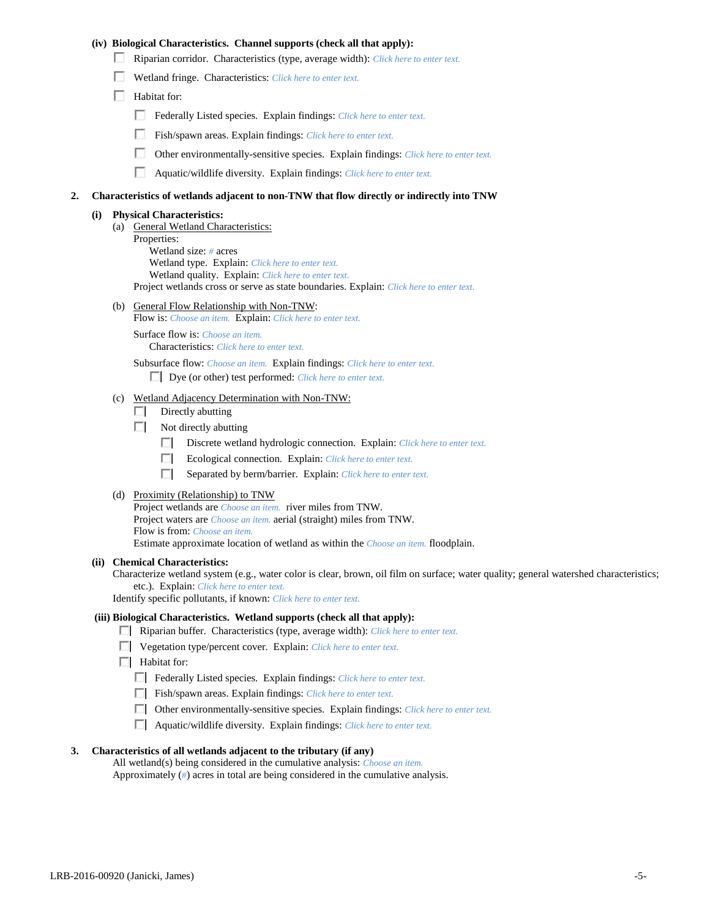### **(iv) Biological Characteristics. Channel supports (check all that apply):**

- Riparian corridor. Characteristics (type, average width): *Click here to enter text.*
- Wetland fringe. Characteristics: *Click here to enter text.*
- $\Box$  Habitat for:
	- Federally Listed species. Explain findings: *Click here to enter text.*
	- Fish/spawn areas. Explain findings: *Click here to enter text.*
	- П. Other environmentally-sensitive species. Explain findings: *Click here to enter text.*
	- Aquatic/wildlife diversity. Explain findings: *Click here to enter text.*

#### **2. Characteristics of wetlands adjacent to non-TNW that flow directly or indirectly into TNW**

#### **(i) Physical Characteristics:**

- (a) General Wetland Characteristics:
	- Properties:

Wetland size: *#* acres Wetland type. Explain: *Click here to enter text.*

Wetland quality. Explain: *Click here to enter text.*

Project wetlands cross or serve as state boundaries. Explain: *Click here to enter text.*

(b) General Flow Relationship with Non-TNW: Flow is: *Choose an item.* Explain: *Click here to enter text.*

Surface flow is: *Choose an item.* Characteristics: *Click here to enter text.*

Subsurface flow: *Choose an item.* Explain findings: *Click here to enter text.*

Dye (or other) test performed: *Click here to enter text.*

### (c) Wetland Adjacency Determination with Non-TNW:

- $\Box$  Directly abutting
- Not directly abutting
	- Discrete wetland hydrologic connection. Explain: *Click here to enter text.*
	- Ecological connection. Explain: *Click here to enter text.*
	- $\Box$ Separated by berm/barrier. Explain: *Click here to enter text.*
- (d) Proximity (Relationship) to TNW

Project wetlands are *Choose an item.* river miles from TNW. Project waters are *Choose an item.* aerial (straight) miles from TNW. Flow is from: *Choose an item.* Estimate approximate location of wetland as within the *Choose an item.* floodplain.

#### **(ii) Chemical Characteristics:**

Characterize wetland system (e.g., water color is clear, brown, oil film on surface; water quality; general watershed characteristics; etc.). Explain: *Click here to enter text.*

Identify specific pollutants, if known: *Click here to enter text.*

### **(iii) Biological Characteristics. Wetland supports (check all that apply):**

- Riparian buffer. Characteristics (type, average width): *Click here to enter text.*
- Vegetation type/percent cover. Explain: *Click here to enter text.*
- $\Box$  Habitat for:
	- Federally Listed species. Explain findings: *Click here to enter text*.
	- Fish/spawn areas. Explain findings: *Click here to enter text*.
	- Other environmentally-sensitive species. Explain findings: *Click here to enter text.*
	- Aquatic/wildlife diversity. Explain findings: *Click here to enter text.*

#### **3. Characteristics of all wetlands adjacent to the tributary (if any)**

All wetland(s) being considered in the cumulative analysis: *Choose an item.* Approximately (*#*) acres in total are being considered in the cumulative analysis.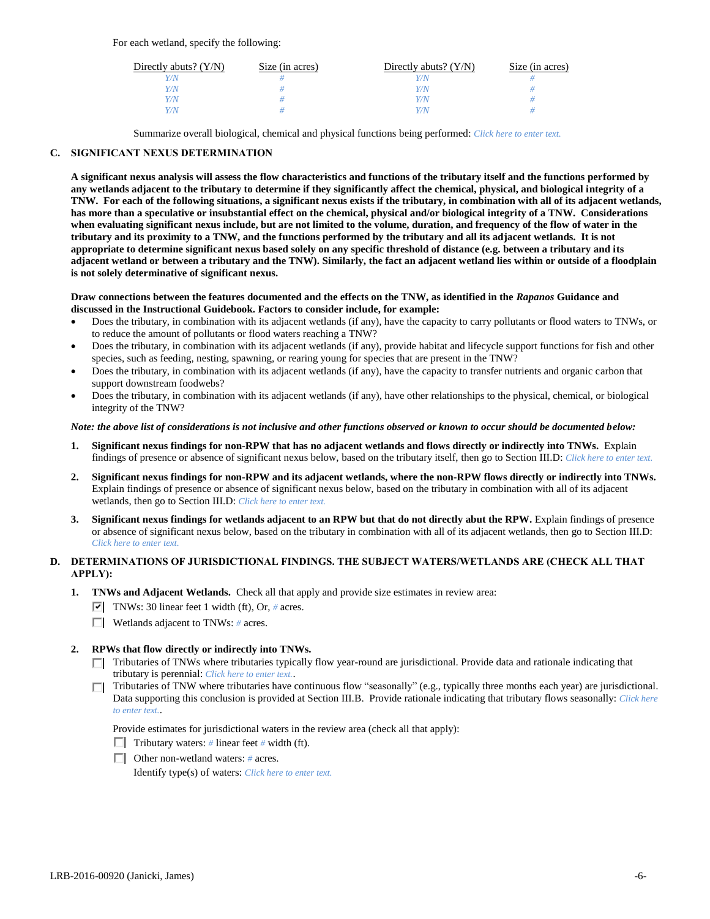For each wetland, specify the following:

| Directly abuts? $(Y/N)$ | Size (in acres) | Directly abuts? $(Y/N)$ | Size (in acres) |
|-------------------------|-----------------|-------------------------|-----------------|
|                         |                 |                         |                 |
| V/N                     |                 | V/N                     |                 |
| V/N                     |                 | Y/N                     |                 |
|                         |                 | Y/N                     |                 |

Summarize overall biological, chemical and physical functions being performed: *Click here to enter text.*

# **C. SIGNIFICANT NEXUS DETERMINATION**

**A significant nexus analysis will assess the flow characteristics and functions of the tributary itself and the functions performed by any wetlands adjacent to the tributary to determine if they significantly affect the chemical, physical, and biological integrity of a TNW. For each of the following situations, a significant nexus exists if the tributary, in combination with all of its adjacent wetlands, has more than a speculative or insubstantial effect on the chemical, physical and/or biological integrity of a TNW. Considerations when evaluating significant nexus include, but are not limited to the volume, duration, and frequency of the flow of water in the tributary and its proximity to a TNW, and the functions performed by the tributary and all its adjacent wetlands. It is not appropriate to determine significant nexus based solely on any specific threshold of distance (e.g. between a tributary and its adjacent wetland or between a tributary and the TNW). Similarly, the fact an adjacent wetland lies within or outside of a floodplain is not solely determinative of significant nexus.** 

### **Draw connections between the features documented and the effects on the TNW, as identified in the** *Rapanos* **Guidance and discussed in the Instructional Guidebook. Factors to consider include, for example:**

- Does the tributary, in combination with its adjacent wetlands (if any), have the capacity to carry pollutants or flood waters to TNWs, or to reduce the amount of pollutants or flood waters reaching a TNW?
- Does the tributary, in combination with its adjacent wetlands (if any), provide habitat and lifecycle support functions for fish and other species, such as feeding, nesting, spawning, or rearing young for species that are present in the TNW?
- Does the tributary, in combination with its adjacent wetlands (if any), have the capacity to transfer nutrients and organic carbon that support downstream foodwebs?
- Does the tributary, in combination with its adjacent wetlands (if any), have other relationships to the physical, chemical, or biological integrity of the TNW?

### *Note: the above list of considerations is not inclusive and other functions observed or known to occur should be documented below:*

- **1. Significant nexus findings for non-RPW that has no adjacent wetlands and flows directly or indirectly into TNWs.** Explain findings of presence or absence of significant nexus below, based on the tributary itself, then go to Section III.D: *Click here to enter text.*
- **2. Significant nexus findings for non-RPW and its adjacent wetlands, where the non-RPW flows directly or indirectly into TNWs.**  Explain findings of presence or absence of significant nexus below, based on the tributary in combination with all of its adjacent wetlands, then go to Section III.D: *Click here to enter text.*
- **3. Significant nexus findings for wetlands adjacent to an RPW but that do not directly abut the RPW.** Explain findings of presence or absence of significant nexus below, based on the tributary in combination with all of its adjacent wetlands, then go to Section III.D: *Click here to enter text.*

# **D. DETERMINATIONS OF JURISDICTIONAL FINDINGS. THE SUBJECT WATERS/WETLANDS ARE (CHECK ALL THAT APPLY):**

- **1. TNWs and Adjacent Wetlands.** Check all that apply and provide size estimates in review area:
	- TNWs: 30 linear feet 1 width (ft), Or, # acres.
	- Wetlands adjacent to TNWs: *#* acres.

# **2. RPWs that flow directly or indirectly into TNWs.**

- Tributaries of TNWs where tributaries typically flow year-round are jurisdictional. Provide data and rationale indicating that tributary is perennial: *Click here to enter text.*.
- Tributaries of TNW where tributaries have continuous flow "seasonally" (e.g., typically three months each year) are jurisdictional. Data supporting this conclusion is provided at Section III.B. Provide rationale indicating that tributary flows seasonally: *Click here to enter text.*.

Provide estimates for jurisdictional waters in the review area (check all that apply):

- Tributary waters:  $\#$  linear feet  $\#$  width (ft).
- Other non-wetland waters: *#* acres.

Identify type(s) of waters: *Click here to enter text.*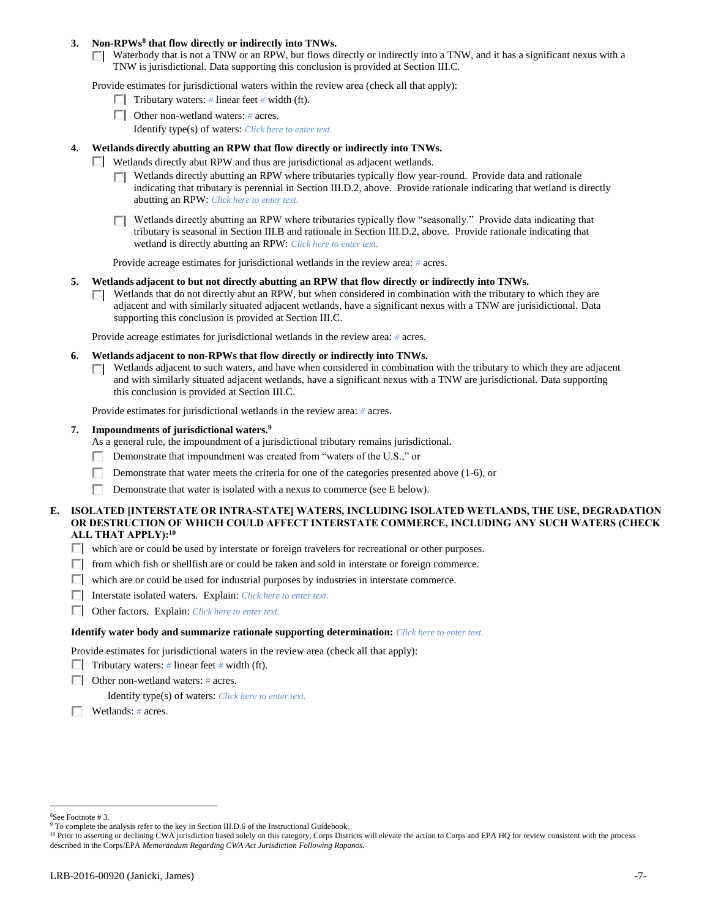### **3. Non-RPWs<sup>8</sup> that flow directly or indirectly into TNWs.**

 $\Box$  Waterbody that is not a TNW or an RPW, but flows directly or indirectly into a TNW, and it has a significant nexus with a TNW is jurisdictional. Data supporting this conclusion is provided at Section III.C.

Provide estimates for jurisdictional waters within the review area (check all that apply):

- **Tributary waters:**  $\#$  linear feet  $\#$  width (ft).
- Other non-wetland waters: *#* acres.
	- Identify type(s) of waters: *Click here to enter text.*

### **4. Wetlands directly abutting an RPW that flow directly or indirectly into TNWs.**

- $\Box$  Wetlands directly abut RPW and thus are jurisdictional as adjacent wetlands.
	- $\Box$  Wetlands directly abutting an RPW where tributaries typically flow year-round. Provide data and rationale indicating that tributary is perennial in Section III.D.2, above. Provide rationale indicating that wetland is directly abutting an RPW: *Click here to enter text.*
	- Wetlands directly abutting an RPW where tributaries typically flow "seasonally." Provide data indicating that ПL. tributary is seasonal in Section III.B and rationale in Section III.D.2, above. Provide rationale indicating that wetland is directly abutting an RPW: *Click here to enter text.*

Provide acreage estimates for jurisdictional wetlands in the review area: *#* acres.

- **5. Wetlands adjacent to but not directly abutting an RPW that flow directly or indirectly into TNWs.**
	- $\Box$  Wetlands that do not directly abut an RPW, but when considered in combination with the tributary to which they are adjacent and with similarly situated adjacent wetlands, have a significant nexus with a TNW are jurisidictional. Data supporting this conclusion is provided at Section III.C.

Provide acreage estimates for jurisdictional wetlands in the review area: *#* acres.

- **6. Wetlands adjacent to non-RPWs that flow directly or indirectly into TNWs.** 
	- Wetlands adjacent to such waters, and have when considered in combination with the tributary to which they are adjacent п. and with similarly situated adjacent wetlands, have a significant nexus with a TNW are jurisdictional. Data supporting this conclusion is provided at Section III.C.

Provide estimates for jurisdictional wetlands in the review area: *#* acres.

**7. Impoundments of jurisdictional waters. 9**

As a general rule, the impoundment of a jurisdictional tributary remains jurisdictional.

- Demonstrate that impoundment was created from "waters of the U.S.," or
- Demonstrate that water meets the criteria for one of the categories presented above (1-6), or
- п Demonstrate that water is isolated with a nexus to commerce (see E below).
- **E. ISOLATED [INTERSTATE OR INTRA-STATE] WATERS, INCLUDING ISOLATED WETLANDS, THE USE, DEGRADATION OR DESTRUCTION OF WHICH COULD AFFECT INTERSTATE COMMERCE, INCLUDING ANY SUCH WATERS (CHECK ALL THAT APPLY):<sup>10</sup>**
	- $\Box$  which are or could be used by interstate or foreign travelers for recreational or other purposes.
	- $\Box$  from which fish or shellfish are or could be taken and sold in interstate or foreign commerce.
	- $\Box$  which are or could be used for industrial purposes by industries in interstate commerce.
	- Interstate isolated waters.Explain: *Click here to enter text.*
	- Other factors.Explain: *Click here to enter text.*

#### **Identify water body and summarize rationale supporting determination:** *Click here to enter text.*

Provide estimates for jurisdictional waters in the review area (check all that apply):

- Tributary waters:  $\#$  linear feet  $\#$  width (ft).
- Other non-wetland waters: *#* acres.

Identify type(s) of waters: *Click here to enter text.*

Wetlands: *#* acres.

<sup>8</sup>See Footnote # 3.

<sup>&</sup>lt;sup>9</sup> To complete the analysis refer to the key in Section III.D.6 of the Instructional Guidebook.

<sup>&</sup>lt;sup>10</sup> Prior to asserting or declining CWA jurisdiction based solely on this category, Corps Districts will elevate the action to Corps and EPA HQ for review consistent with the process described in the Corps/EPA *Memorandum Regarding CWA Act Jurisdiction Following Rapanos.*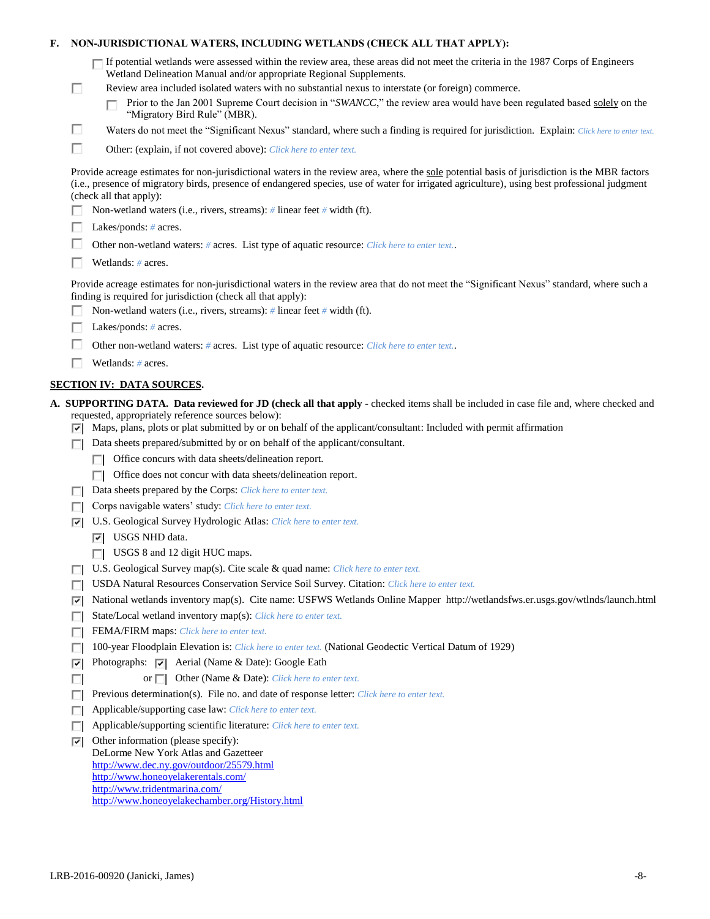| F. |                                                                                                                  | NON-JURISDICTIONAL WATERS, INCLUDING WETLANDS (CHECK ALL THAT APPLY):                                                                                                                                                                                                                                                                                                                                                                                                     |  |  |  |
|----|------------------------------------------------------------------------------------------------------------------|---------------------------------------------------------------------------------------------------------------------------------------------------------------------------------------------------------------------------------------------------------------------------------------------------------------------------------------------------------------------------------------------------------------------------------------------------------------------------|--|--|--|
|    | Π                                                                                                                | If potential wetlands were assessed within the review area, these areas did not meet the criteria in the 1987 Corps of Engineers<br>Wetland Delineation Manual and/or appropriate Regional Supplements.<br>Review area included isolated waters with no substantial nexus to interstate (or foreign) commerce.<br>Prior to the Jan 2001 Supreme Court decision in "SWANCC," the review area would have been regulated based solely on the<br>"Migratory Bird Rule" (MBR). |  |  |  |
|    | □                                                                                                                | Waters do not meet the "Significant Nexus" standard, where such a finding is required for jurisdiction. Explain: Click here to enter text.                                                                                                                                                                                                                                                                                                                                |  |  |  |
|    | п                                                                                                                | Other: (explain, if not covered above): Click here to enter text.                                                                                                                                                                                                                                                                                                                                                                                                         |  |  |  |
|    |                                                                                                                  |                                                                                                                                                                                                                                                                                                                                                                                                                                                                           |  |  |  |
|    |                                                                                                                  | Provide acreage estimates for non-jurisdictional waters in the review area, where the sole potential basis of jurisdiction is the MBR factors<br>(i.e., presence of migratory birds, presence of endangered species, use of water for irrigated agriculture), using best professional judgment<br>(check all that apply):<br>Non-wetland waters (i.e., rivers, streams): # linear feet # width (ft).                                                                      |  |  |  |
|    |                                                                                                                  | Lakes/ponds: $# \, \text{acres.}$                                                                                                                                                                                                                                                                                                                                                                                                                                         |  |  |  |
|    |                                                                                                                  |                                                                                                                                                                                                                                                                                                                                                                                                                                                                           |  |  |  |
|    | Other non-wetland waters: # acres. List type of aquatic resource: Click here to enter text<br>Wetlands: # acres. |                                                                                                                                                                                                                                                                                                                                                                                                                                                                           |  |  |  |
|    |                                                                                                                  |                                                                                                                                                                                                                                                                                                                                                                                                                                                                           |  |  |  |
|    |                                                                                                                  | Provide acreage estimates for non-jurisdictional waters in the review area that do not meet the "Significant Nexus" standard, where such a<br>finding is required for jurisdiction (check all that apply):<br>Non-wetland waters (i.e., rivers, streams): $\#$ linear feet $\#$ width (ft).                                                                                                                                                                               |  |  |  |
|    |                                                                                                                  | Lakes/ponds: $# \, \text{acres.}$                                                                                                                                                                                                                                                                                                                                                                                                                                         |  |  |  |
|    |                                                                                                                  | Other non-wetland waters: # acres. List type of aquatic resource: Click here to enter text                                                                                                                                                                                                                                                                                                                                                                                |  |  |  |
|    |                                                                                                                  | Wetlands: # acres.                                                                                                                                                                                                                                                                                                                                                                                                                                                        |  |  |  |
|    |                                                                                                                  | <b>SECTION IV: DATA SOURCES.</b>                                                                                                                                                                                                                                                                                                                                                                                                                                          |  |  |  |
|    | ▿                                                                                                                | A. SUPPORTING DATA. Data reviewed for JD (check all that apply - checked items shall be included in case file and, where checked and<br>requested, appropriately reference sources below):<br>Maps, plans, plots or plat submitted by or on behalf of the applicant/consultant: Included with permit affirmation                                                                                                                                                          |  |  |  |
|    | п                                                                                                                | Data sheets prepared/submitted by or on behalf of the applicant/consultant.                                                                                                                                                                                                                                                                                                                                                                                               |  |  |  |
|    |                                                                                                                  | Office concurs with data sheets/delineation report.                                                                                                                                                                                                                                                                                                                                                                                                                       |  |  |  |
|    |                                                                                                                  | Office does not concur with data sheets/delineation report.                                                                                                                                                                                                                                                                                                                                                                                                               |  |  |  |
|    | ш                                                                                                                | Data sheets prepared by the Corps: Click here to enter text.                                                                                                                                                                                                                                                                                                                                                                                                              |  |  |  |
|    | п                                                                                                                | Corps navigable waters' study: Click here to enter text.                                                                                                                                                                                                                                                                                                                                                                                                                  |  |  |  |
|    | ⊽                                                                                                                | U.S. Geological Survey Hydrologic Atlas: Click here to enter text.                                                                                                                                                                                                                                                                                                                                                                                                        |  |  |  |
|    |                                                                                                                  | USGS NHD data.<br>ल।                                                                                                                                                                                                                                                                                                                                                                                                                                                      |  |  |  |
|    |                                                                                                                  | $\Box$ USGS 8 and 12 digit HUC maps.                                                                                                                                                                                                                                                                                                                                                                                                                                      |  |  |  |
|    |                                                                                                                  | U.S. Geological Survey map(s). Cite scale & quad name: Click here to enter text.                                                                                                                                                                                                                                                                                                                                                                                          |  |  |  |
|    | п                                                                                                                | USDA Natural Resources Conservation Service Soil Survey. Citation: Click here to enter text.                                                                                                                                                                                                                                                                                                                                                                              |  |  |  |
|    | ⊽                                                                                                                | National wetlands inventory map(s). Cite name: USFWS Wetlands Online Mapper http://wetlandsfws.er.usgs.gov/wtlnds/launch.html                                                                                                                                                                                                                                                                                                                                             |  |  |  |
|    | п                                                                                                                | State/Local wetland inventory map(s): Click here to enter text.                                                                                                                                                                                                                                                                                                                                                                                                           |  |  |  |
|    | п                                                                                                                | FEMA/FIRM maps: Click here to enter text.                                                                                                                                                                                                                                                                                                                                                                                                                                 |  |  |  |
|    |                                                                                                                  | 100-year Floodplain Elevation is: Click here to enter text. (National Geodectic Vertical Datum of 1929)<br>Photographs: $\boxed{\triangledown}$ Aerial (Name & Date): Google Eath                                                                                                                                                                                                                                                                                         |  |  |  |
|    | ⊽                                                                                                                | or $\Box$ Other (Name & Date): Click here to enter text.                                                                                                                                                                                                                                                                                                                                                                                                                  |  |  |  |
|    | п                                                                                                                | Previous determination(s). File no. and date of response letter: Click here to enter text.                                                                                                                                                                                                                                                                                                                                                                                |  |  |  |
|    | п                                                                                                                | Applicable/supporting case law: Click here to enter text.                                                                                                                                                                                                                                                                                                                                                                                                                 |  |  |  |
|    | п                                                                                                                |                                                                                                                                                                                                                                                                                                                                                                                                                                                                           |  |  |  |
|    | п                                                                                                                | Applicable/supporting scientific literature: Click here to enter text.<br>Other information (please specify):                                                                                                                                                                                                                                                                                                                                                             |  |  |  |
|    | ⊽                                                                                                                | DeLorme New York Atlas and Gazetteer                                                                                                                                                                                                                                                                                                                                                                                                                                      |  |  |  |
|    |                                                                                                                  | http://www.dec.ny.gov/outdoor/25579.html                                                                                                                                                                                                                                                                                                                                                                                                                                  |  |  |  |
|    |                                                                                                                  | http://www.honeoyelakerentals.com/                                                                                                                                                                                                                                                                                                                                                                                                                                        |  |  |  |
|    |                                                                                                                  | http://www.tridentmarina.com/<br>http://www.boneovalakechamber.org/History.html                                                                                                                                                                                                                                                                                                                                                                                           |  |  |  |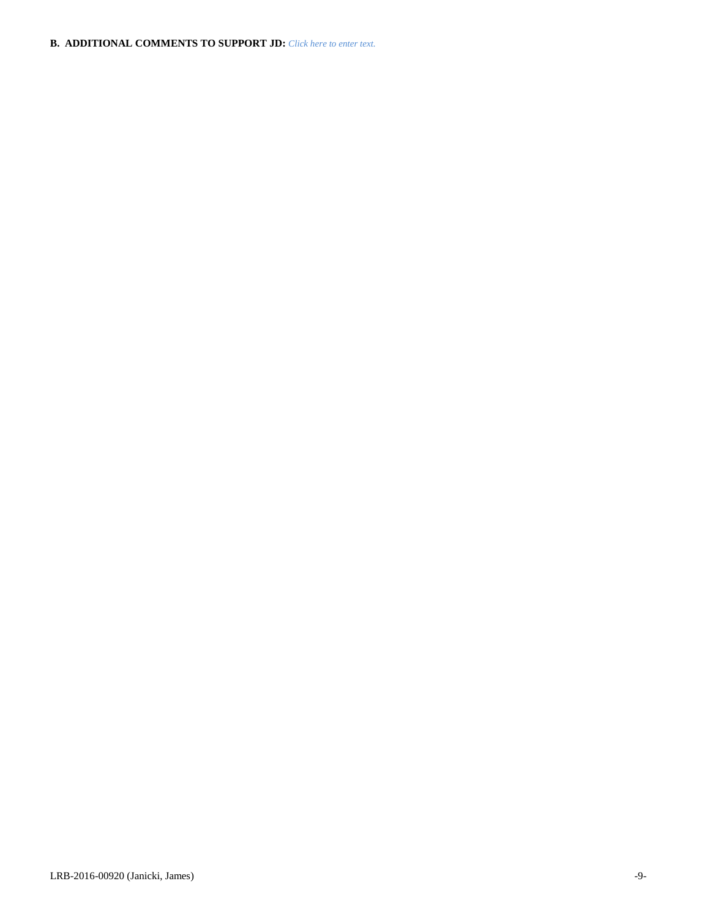# **B. ADDITIONAL COMMENTS TO SUPPORT JD:** *Click here to enter text.*